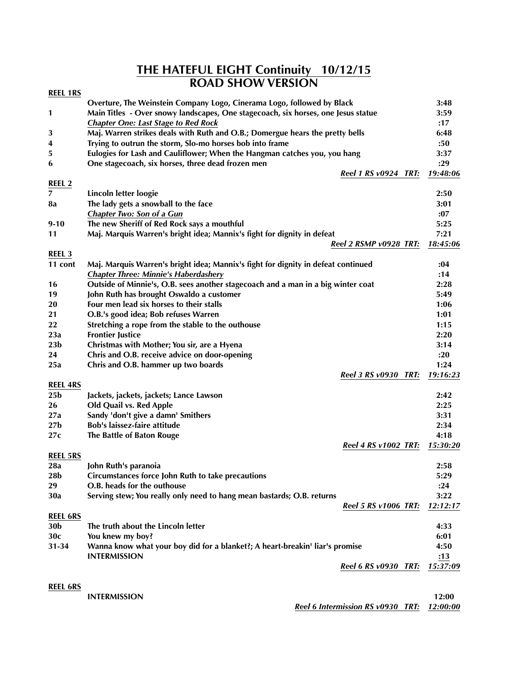## **THE HATEFUL EIGHT Continuity 10/12/15 ROAD SHOW VERSION**

| <b>REEL 1RS</b> |                                                                                   |          |
|-----------------|-----------------------------------------------------------------------------------|----------|
|                 | Overture, The Weinstein Company Logo, Cinerama Logo, followed by Black            | 3:48     |
| 1               | Main Titles - Over snowy landscapes, One stagecoach, six horses, one Jesus statue | 3:59     |
|                 | <b>Chapter One: Last Stage to Red Rock</b>                                        | :17      |
| 3               | Maj. Warren strikes deals with Ruth and O.B.; Domergue hears the pretty bells     | 6:48     |
| 4               | Trying to outrun the storm, Slo-mo horses bob into frame                          | :50      |
| 5               | Eulogies for Lash and Cauliflower; When the Hangman catches you, you hang         | 3:37     |
| 6               | One stagecoach, six horses, three dead frozen men                                 | : 29     |
|                 | Reel 1 RS v0924 TRT:                                                              | 19:48:06 |
| <b>REEL 2</b>   |                                                                                   |          |
| 7               | Lincoln letter loogie                                                             | 2:50     |
| 8a              | The lady gets a snowball to the face                                              | 3:01     |
|                 | <b>Chapter Two: Son of a Gun</b>                                                  | :07      |
| $9-10$          | The new Sheriff of Red Rock says a mouthful                                       | 5:25     |
| 11              | Maj. Marquis Warren's bright idea; Mannix's fight for dignity in defeat           | 7:21     |
|                 | Reel 2 RSMP v0928 TRT:                                                            | 18:45:06 |
| <b>REEL 3</b>   |                                                                                   |          |
| 11 cont         | Maj. Marquis Warren's bright idea; Mannix's fight for dignity in defeat continued | :04      |
|                 | <b>Chapter Three: Minnie's Haberdashery</b>                                       | :14      |
| 16              | Outside of Minnie's, O.B. sees another stagecoach and a man in a big winter coat  | 2:28     |
| 19              | John Ruth has brought Oswaldo a customer                                          | 5:49     |
| 20              | Four men lead six horses to their stalls                                          | 1:06     |
| 21              | O.B.'s good idea; Bob refuses Warren                                              | 1:01     |
| 22              | Stretching a rope from the stable to the outhouse                                 | 1:15     |
| 23a             | <b>Frontier Justice</b>                                                           | 2:20     |
| 23 <sub>b</sub> | Christmas with Mother; You sir, are a Hyena                                       | 3:14     |
| 24              | Chris and O.B. receive advice on door-opening                                     | : 20     |
| 25a             | Chris and O.B. hammer up two boards                                               | 1:24     |
|                 | Reel 3 RS v0930 TRT:                                                              | 19:16:23 |
| <b>REEL 4RS</b> |                                                                                   |          |
| 25 <sub>b</sub> | Jackets, jackets, jackets; Lance Lawson                                           | 2:42     |
| 26              | Old Quail vs. Red Apple                                                           | 2:25     |
| 27a             | Sandy 'don't give a damn' Smithers                                                | 3:31     |
| 27 <sub>b</sub> | Bob's laissez-faire attitude                                                      | 2:34     |
| 27c             | The Battle of Baton Rouge                                                         | 4:18     |
|                 | <b>Reel 4 RS v1002 TRT:</b>                                                       | 15:30:20 |
| <b>REEL 5RS</b> |                                                                                   |          |
| 28a             | John Ruth's paranoia                                                              | 2:58     |
| 28b             | Circumstances force John Ruth to take precautions                                 | 5:29     |
| 29              | O.B. heads for the outhouse                                                       | : 24     |
| 30a             | Serving stew; You really only need to hang mean bastards; O.B. returns            | 3:22     |
|                 | <b>Reel 5 RS v1006 TRT:</b>                                                       | 12:12:17 |
| <b>REEL 6RS</b> |                                                                                   |          |
| 30 <sub>b</sub> | The truth about the Lincoln letter                                                | 4:33     |
| 30c             | You knew my boy?                                                                  | 6:01     |
| 31-34           | Wanna know what your boy did for a blanket?; A heart-breakin' liar's promise      | 4:50     |
|                 | <b>INTERMISSION</b>                                                               | :13      |
|                 | <b>Reel 6 RS v0930 TRT:</b>                                                       | 15:37:09 |
|                 |                                                                                   |          |
| <b>REEL 6RS</b> |                                                                                   |          |
|                 | <b>INTERMISSION</b>                                                               | 12:00    |
|                 | Reel 6 Intermission RS v0930 TRT:                                                 | 12:00:00 |